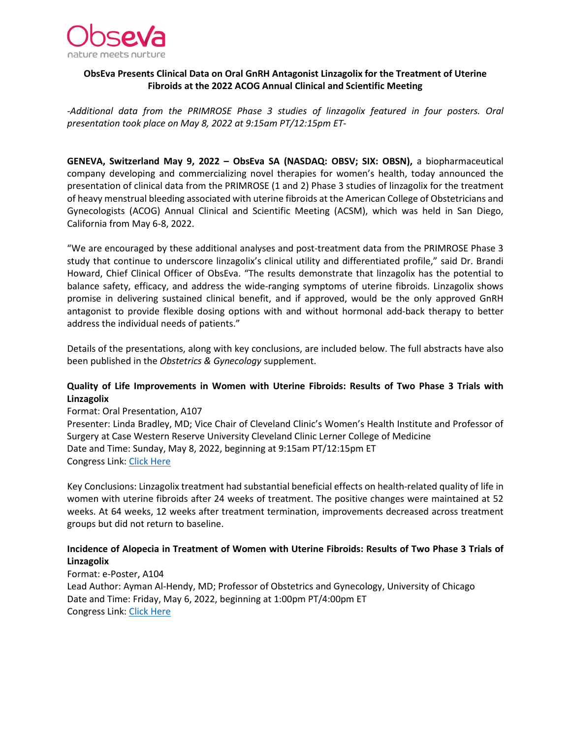

## **ObsEva Presents Clinical Data on Oral GnRH Antagonist Linzagolix for the Treatment of Uterine Fibroids at the 2022 ACOG Annual Clinical and Scientific Meeting**

*-Additional data from the PRIMROSE Phase 3 studies of linzagolix featured in four posters. Oral presentation took place on May 8, 2022 at 9:15am PT/12:15pm ET-*

**GENEVA, Switzerland May 9, 2022 – ObsEva SA (NASDAQ: OBSV; SIX: OBSN),** a biopharmaceutical company developing and commercializing novel therapies for women's health, today announced the presentation of clinical data from the PRIMROSE (1 and 2) Phase 3 studies of linzagolix for the treatment of heavy menstrual bleeding associated with uterine fibroids at the American College of Obstetricians and Gynecologists (ACOG) Annual Clinical and Scientific Meeting (ACSM), which was held in San Diego, California from May 6-8, 2022.

"We are encouraged by these additional analyses and post-treatment data from the PRIMROSE Phase 3 study that continue to underscore linzagolix's clinical utility and differentiated profile," said Dr. Brandi Howard, Chief Clinical Officer of ObsEva. "The results demonstrate that linzagolix has the potential to balance safety, efficacy, and address the wide-ranging symptoms of uterine fibroids. Linzagolix shows promise in delivering sustained clinical benefit, and if approved, would be the only approved GnRH antagonist to provide flexible dosing options with and without hormonal add-back therapy to better address the individual needs of patients."

Details of the presentations, along with key conclusions, are included below. The full abstracts have also been published in the *Obstetrics & Gynecology* supplement.

## **Quality of Life Improvements in Women with Uterine Fibroids: Results of Two Phase 3 Trials with Linzagolix**

Format: Oral Presentation, A107

Presenter: Linda Bradley, MD; Vice Chair of Cleveland Clinic's Women's Health Institute and Professor of Surgery at Case Western Reserve University Cleveland Clinic Lerner College of Medicine Date and Time: Sunday, May 8, 2022, beginning at 9:15am PT/12:15pm ET Congress Link: [Click Here](https://annualmeetingacog.us2.pathable.com/meetings/kg4x4iRiQY6YqiaBJ)

Key Conclusions: Linzagolix treatment had substantial beneficial effects on health-related quality of life in women with uterine fibroids after 24 weeks of treatment. The positive changes were maintained at 52 weeks. At 64 weeks, 12 weeks after treatment termination, improvements decreased across treatment groups but did not return to baseline.

## **Incidence of Alopecia in Treatment of Women with Uterine Fibroids: Results of Two Phase 3 Trials of Linzagolix**

Format: e-Poster, A104 Lead Author: Ayman Al-Hendy, MD; Professor of Obstetrics and Gynecology, University of Chicago Date and Time: Friday, May 6, 2022, beginning at 1:00pm PT/4:00pm ET Congress Link: [Click Here](https://annualmeetingacog.us2.pathable.com/meetings/DKo5CvCrAkbxNTBqG)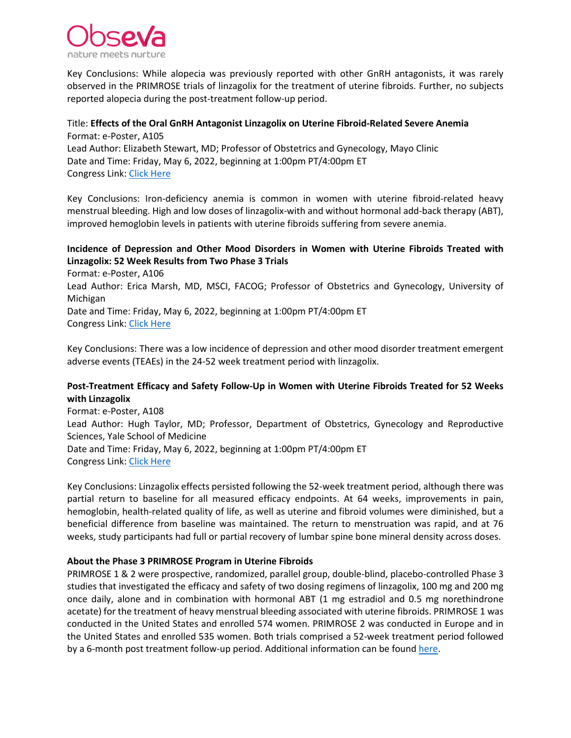

Key Conclusions: While alopecia was previously reported with other GnRH antagonists, it was rarely observed in the PRIMROSE trials of linzagolix for the treatment of uterine fibroids. Further, no subjects reported alopecia during the post-treatment follow-up period.

## Title: **Effects of the Oral GnRH Antagonist Linzagolix on Uterine Fibroid-Related Severe Anemia**  Format: e-Poster, A105 Lead Author: Elizabeth Stewart, MD; Professor of Obstetrics and Gynecology, Mayo Clinic Date and Time: Friday, May 6, 2022, beginning at 1:00pm PT/4:00pm ET Congress Link: [Click Here](https://annualmeetingacog.us2.pathable.com/meetings/6bpxv9TRuoh68SeWw)

Key Conclusions: Iron-deficiency anemia is common in women with uterine fibroid-related heavy menstrual bleeding. High and low doses of linzagolix-with and without hormonal add-back therapy (ABT), improved hemoglobin levels in patients with uterine fibroids suffering from severe anemia.

# **Incidence of Depression and Other Mood Disorders in Women with Uterine Fibroids Treated with Linzagolix: 52 Week Results from Two Phase 3 Trials**

Format: e-Poster, A106 Lead Author: Erica Marsh, MD, MSCI, FACOG; Professor of Obstetrics and Gynecology, University of Michigan Date and Time: Friday, May 6, 2022, beginning at 1:00pm PT/4:00pm ET Congress Link: [Click Here](https://annualmeetingacog.us2.pathable.com/meetings/9fehpJEuadDRw557f) 

Key Conclusions: There was a low incidence of depression and other mood disorder treatment emergent adverse events (TEAEs) in the 24-52 week treatment period with linzagolix.

## **Post-Treatment Efficacy and Safety Follow-Up in Women with Uterine Fibroids Treated for 52 Weeks with Linzagolix**

Format: e-Poster, A108 Lead Author: Hugh Taylor, MD; Professor, Department of Obstetrics, Gynecology and Reproductive Sciences, Yale School of Medicine Date and Time: Friday, May 6, 2022, beginning at 1:00pm PT/4:00pm ET Congress Link: [Click Here](https://annualmeetingacog.us2.pathable.com/meetings/kB9jTF83k4CA8m7kL) 

Key Conclusions: Linzagolix effects persisted following the 52-week treatment period, although there was partial return to baseline for all measured efficacy endpoints. At 64 weeks, improvements in pain, hemoglobin, health-related quality of life, as well as uterine and fibroid volumes were diminished, but a beneficial difference from baseline was maintained. The return to menstruation was rapid, and at 76 weeks, study participants had full or partial recovery of lumbar spine bone mineral density across doses.

## **About the Phase 3 PRIMROSE Program in Uterine Fibroids**

PRIMROSE 1 & 2 were prospective, randomized, parallel group, double-blind, placebo-controlled Phase 3 studies that investigated the efficacy and safety of two dosing regimens of linzagolix, 100 mg and 200 mg once daily, alone and in combination with hormonal ABT (1 mg estradiol and 0.5 mg norethindrone acetate) for the treatment of heavy menstrual bleeding associated with uterine fibroids. PRIMROSE 1 was conducted in the United States and enrolled 574 women. PRIMROSE 2 was conducted in Europe and in the United States and enrolled 535 women. Both trials comprised a 52-week treatment period followed by a 6-month post treatment follow-up period. Additional information can be found [here.](https://www.obseva.com/linzagolix-uf/)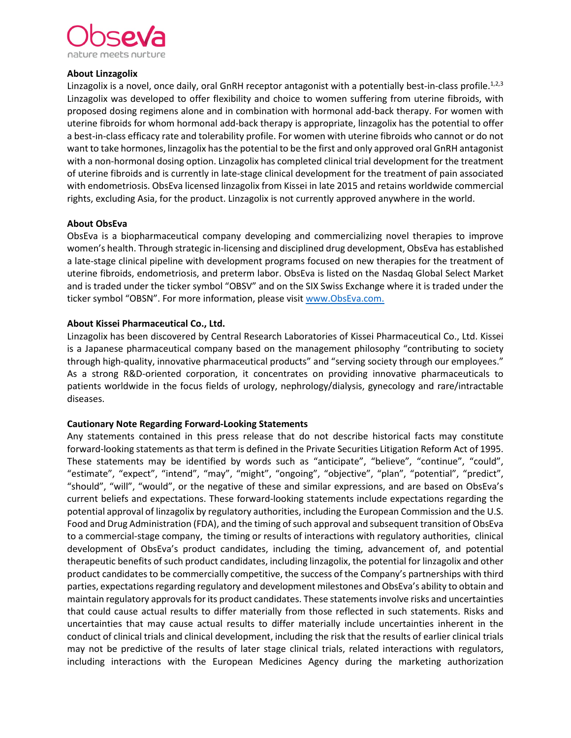

### **About Linzagolix**

Linzagolix is a novel, once daily, oral GnRH receptor antagonist with a potentially best-in-class profile.<sup>1,2,3</sup> Linzagolix was developed to offer flexibility and choice to women suffering from uterine fibroids, with proposed dosing regimens alone and in combination with hormonal add-back therapy. For women with uterine fibroids for whom hormonal add-back therapy is appropriate, linzagolix has the potential to offer a best-in-class efficacy rate and tolerability profile. For women with uterine fibroids who cannot or do not want to take hormones, linzagolix has the potential to be the first and only approved oral GnRH antagonist with a non-hormonal dosing option. Linzagolix has completed clinical trial development for the treatment of uterine fibroids and is currently in late-stage clinical development for the treatment of pain associated with endometriosis. ObsEva licensed linzagolix from Kissei in late 2015 and retains worldwide commercial rights, excluding Asia, for the product. Linzagolix is not currently approved anywhere in the world.

### **About ObsEva**

ObsEva is a biopharmaceutical company developing and commercializing novel therapies to improve women's health. Through strategic in-licensing and disciplined drug development, ObsEva has established a late-stage clinical pipeline with development programs focused on new therapies for the treatment of uterine fibroids, endometriosis, and preterm labor. ObsEva is listed on the Nasdaq Global Select Market and is traded under the ticker symbol "OBSV" and on the SIX Swiss Exchange where it is traded under the ticker symbol "OBSN". For more information, please visit [www.ObsEva.com.](http://www.obseva.com/)

### **About Kissei Pharmaceutical Co., Ltd.**

Linzagolix has been discovered by Central Research Laboratories of Kissei Pharmaceutical Co., Ltd. Kissei is a Japanese pharmaceutical company based on the management philosophy "contributing to society through high-quality, innovative pharmaceutical products" and "serving society through our employees." As a strong R&D-oriented corporation, it concentrates on providing innovative pharmaceuticals to patients worldwide in the focus fields of urology, nephrology/dialysis, gynecology and rare/intractable diseases.

### **Cautionary Note Regarding Forward-Looking Statements**

Any statements contained in this press release that do not describe historical facts may constitute forward-looking statements as that term is defined in the Private Securities Litigation Reform Act of 1995. These statements may be identified by words such as "anticipate", "believe", "continue", "could", "estimate", "expect", "intend", "may", "might", "ongoing", "objective", "plan", "potential", "predict", "should", "will", "would", or the negative of these and similar expressions, and are based on ObsEva's current beliefs and expectations. These forward-looking statements include expectations regarding the potential approval of linzagolix by regulatory authorities, including the European Commission and the U.S. Food and Drug Administration (FDA), and the timing of such approval and subsequent transition of ObsEva to a commercial-stage company, the timing or results of interactions with regulatory authorities, clinical development of ObsEva's product candidates, including the timing, advancement of, and potential therapeutic benefits of such product candidates, including linzagolix, the potential for linzagolix and other product candidates to be commercially competitive, the success of the Company's partnerships with third parties, expectations regarding regulatory and development milestones and ObsEva's ability to obtain and maintain regulatory approvals for its product candidates. These statements involve risks and uncertainties that could cause actual results to differ materially from those reflected in such statements. Risks and uncertainties that may cause actual results to differ materially include uncertainties inherent in the conduct of clinical trials and clinical development, including the risk that the results of earlier clinical trials may not be predictive of the results of later stage clinical trials, related interactions with regulators, including interactions with the European Medicines Agency during the marketing authorization